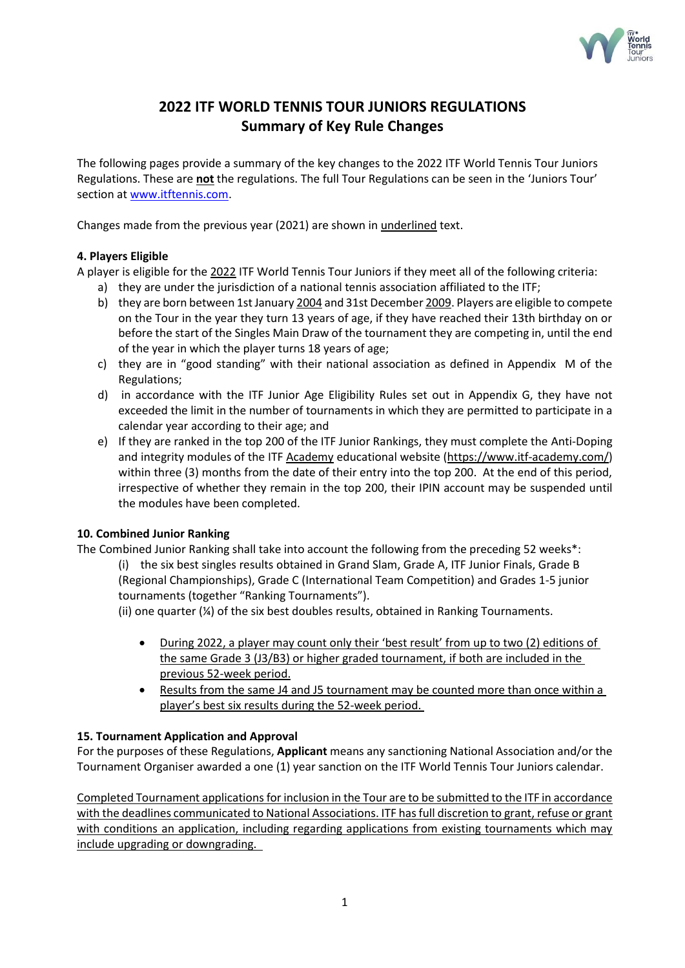

# **2022 ITF WORLD TENNIS TOUR JUNIORS REGULATIONS Summary of Key Rule Changes**

The following pages provide a summary of the key changes to the 2022 ITF World Tennis Tour Juniors Regulations. These are **not** the regulations. The full Tour Regulations can be seen in the 'Juniors Tour' section at [www.itftennis.com.](http://www.itftennis.com/)

Changes made from the previous year (2021) are shown in underlined text.

## **4. Players Eligible**

A player is eligible for the 2022 ITF World Tennis Tour Juniors if they meet all of the following criteria:

- a) they are under the jurisdiction of a national tennis association affiliated to the ITF;
- b) they are born between 1st January 2004 and 31st December 2009. Players are eligible to compete on the Tour in the year they turn 13 years of age, if they have reached their 13th birthday on or before the start of the Singles Main Draw of the tournament they are competing in, until the end of the year in which the player turns 18 years of age;
- c) they are in "good standing" with their national association as defined in Appendix M of the Regulations;
- d) in accordance with the ITF Junior Age Eligibility Rules set out in Appendix G, they have not exceeded the limit in the number of tournaments in which they are permitted to participate in a calendar year according to their age; and
- e) If they are ranked in the top 200 of the ITF Junior Rankings, they must complete the Anti-Doping and integrity modules of the ITF Academy educational website (https://www.itf-academy.com/) within three (3) months from the date of their entry into the top 200. At the end of this period, irrespective of whether they remain in the top 200, their IPIN account may be suspended until the modules have been completed.

## **10. Combined Junior Ranking**

The Combined Junior Ranking shall take into account the following from the preceding 52 weeks\*:

(i) the six best singles results obtained in Grand Slam, Grade A, ITF Junior Finals, Grade B (Regional Championships), Grade C (International Team Competition) and Grades 1-5 junior tournaments (together "Ranking Tournaments").

(ii) one quarter (¼) of the six best doubles results, obtained in Ranking Tournaments.

- During 2022, a player may count only their 'best result' from up to two (2) editions of the same Grade 3 (J3/B3) or higher graded tournament, if both are included in the previous 52-week period.
- Results from the same J4 and J5 tournament may be counted more than once within a player's best six results during the 52-week period.

# **15. Tournament Application and Approval**

For the purposes of these Regulations, **Applicant** means any sanctioning National Association and/or the Tournament Organiser awarded a one (1) year sanction on the ITF World Tennis Tour Juniors calendar.

Completed Tournament applications for inclusion in the Tour are to be submitted to the ITF in accordance with the deadlines communicated to National Associations. ITF has full discretion to grant, refuse or grant with conditions an application, including regarding applications from existing tournaments which may include upgrading or downgrading.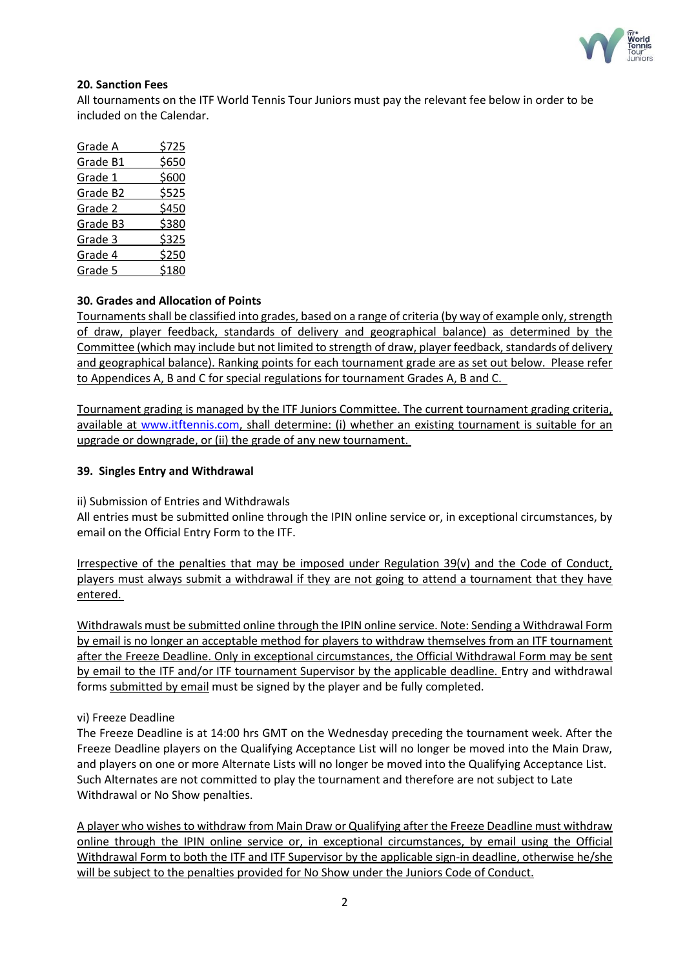

## **20. Sanction Fees**

All tournaments on the ITF World Tennis Tour Juniors must pay the relevant fee below in order to be included on the Calendar.

| Grade A  | \$725 |
|----------|-------|
| Grade B1 | \$650 |
| Grade 1  | \$600 |
| Grade B2 | \$525 |
| Grade 2  | \$450 |
| Grade B3 | \$380 |
| Grade 3  | \$325 |
| Grade 4  | \$250 |
| Grade 5  | \$180 |

# **30. Grades and Allocation of Points**

Tournaments shall be classified into grades, based on a range of criteria (by way of example only, strength of draw, player feedback, standards of delivery and geographical balance) as determined by the Committee (which may include but not limited to strength of draw, player feedback, standards of delivery and geographical balance). Ranking points for each tournament grade are as set out below. Please refer to Appendices A, B and C for special regulations for tournament Grades A, B and C.

Tournament grading is managed by the ITF Juniors Committee. The current tournament grading criteria, available at [www.itftennis.com,](http://www.itftennis.com/) shall determine: (i) whether an existing tournament is suitable for an upgrade or downgrade, or (ii) the grade of any new tournament.

## **39. Singles Entry and Withdrawal**

ii) Submission of Entries and Withdrawals

All entries must be submitted online through the IPIN online service or, in exceptional circumstances, by email on the Official Entry Form to the ITF.

Irrespective of the penalties that may be imposed under Regulation 39(v) and the Code of Conduct, players must always submit a withdrawal if they are not going to attend a tournament that they have entered.

Withdrawals must be submitted online through the IPIN online service. Note: Sending a Withdrawal Form by email is no longer an acceptable method for players to withdraw themselves from an ITF tournament after the Freeze Deadline. Only in exceptional circumstances, the Official Withdrawal Form may be sent by email to the ITF and/or ITF tournament Supervisor by the applicable deadline. Entry and withdrawal forms submitted by email must be signed by the player and be fully completed.

#### vi) Freeze Deadline

The Freeze Deadline is at 14:00 hrs GMT on the Wednesday preceding the tournament week. After the Freeze Deadline players on the Qualifying Acceptance List will no longer be moved into the Main Draw, and players on one or more Alternate Lists will no longer be moved into the Qualifying Acceptance List. Such Alternates are not committed to play the tournament and therefore are not subject to Late Withdrawal or No Show penalties.

A player who wishes to withdraw from Main Draw or Qualifying after the Freeze Deadline must withdraw online through the IPIN online service or, in exceptional circumstances, by email using the Official Withdrawal Form to both the ITF and ITF Supervisor by the applicable sign-in deadline, otherwise he/she will be subject to the penalties provided for No Show under the Juniors Code of Conduct.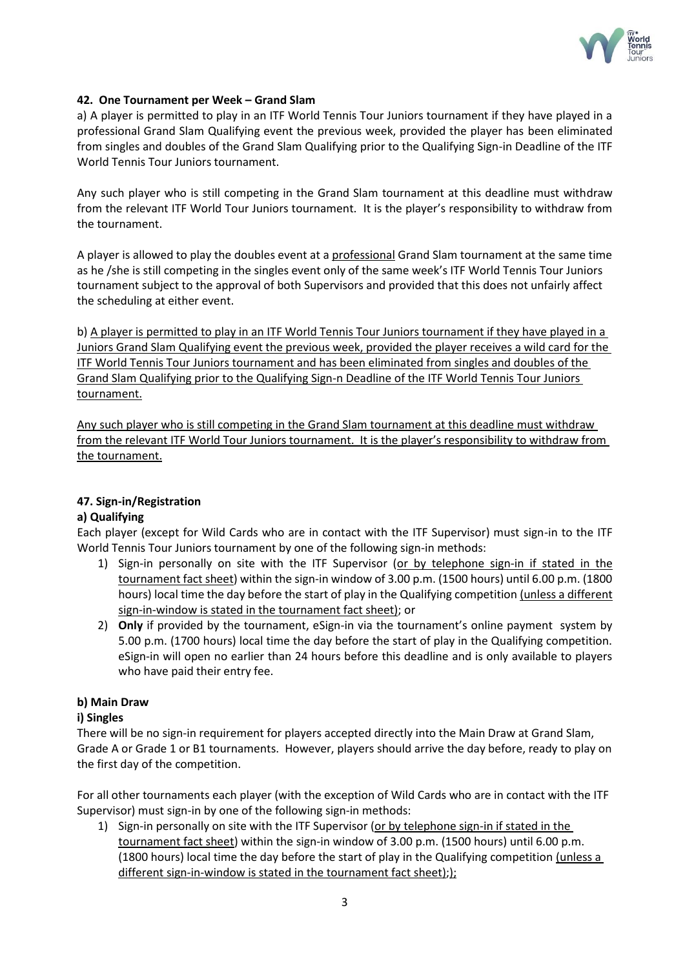

## **42. One Tournament per Week – Grand Slam**

a) A player is permitted to play in an ITF World Tennis Tour Juniors tournament if they have played in a professional Grand Slam Qualifying event the previous week, provided the player has been eliminated from singles and doubles of the Grand Slam Qualifying prior to the Qualifying Sign-in Deadline of the ITF World Tennis Tour Juniors tournament.

Any such player who is still competing in the Grand Slam tournament at this deadline must withdraw from the relevant ITF World Tour Juniors tournament. It is the player's responsibility to withdraw from the tournament.

A player is allowed to play the doubles event at a professional Grand Slam tournament at the same time as he /she is still competing in the singles event only of the same week's ITF World Tennis Tour Juniors tournament subject to the approval of both Supervisors and provided that this does not unfairly affect the scheduling at either event.

b) A player is permitted to play in an ITF World Tennis Tour Juniors tournament if they have played in a Juniors Grand Slam Qualifying event the previous week, provided the player receives a wild card for the ITF World Tennis Tour Juniors tournament and has been eliminated from singles and doubles of the Grand Slam Qualifying prior to the Qualifying Sign-n Deadline of the ITF World Tennis Tour Juniors tournament.

Any such player who is still competing in the Grand Slam tournament at this deadline must withdraw from the relevant ITF World Tour Juniors tournament. It is the player's responsibility to withdraw from the tournament.

# **47. Sign-in/Registration**

# **a) Qualifying**

Each player (except for Wild Cards who are in contact with the ITF Supervisor) must sign-in to the ITF World Tennis Tour Juniors tournament by one of the following sign-in methods:

- 1) Sign-in personally on site with the ITF Supervisor (or by telephone sign-in if stated in the tournament fact sheet) within the sign-in window of 3.00 p.m. (1500 hours) until 6.00 p.m. (1800 hours) local time the day before the start of play in the Qualifying competition (unless a different sign-in-window is stated in the tournament fact sheet); or
- 2) **Only** if provided by the tournament, eSign-in via the tournament's online payment system by 5.00 p.m. (1700 hours) local time the day before the start of play in the Qualifying competition. eSign-in will open no earlier than 24 hours before this deadline and is only available to players who have paid their entry fee.

# **b) Main Draw**

#### **i) Singles**

There will be no sign-in requirement for players accepted directly into the Main Draw at Grand Slam, Grade A or Grade 1 or B1 tournaments. However, players should arrive the day before, ready to play on the first day of the competition.

For all other tournaments each player (with the exception of Wild Cards who are in contact with the ITF Supervisor) must sign-in by one of the following sign-in methods:

1) Sign-in personally on site with the ITF Supervisor (or by telephone sign-in if stated in the tournament fact sheet) within the sign-in window of 3.00 p.m. (1500 hours) until 6.00 p.m. (1800 hours) local time the day before the start of play in the Qualifying competition (unless a different sign-in-window is stated in the tournament fact sheet););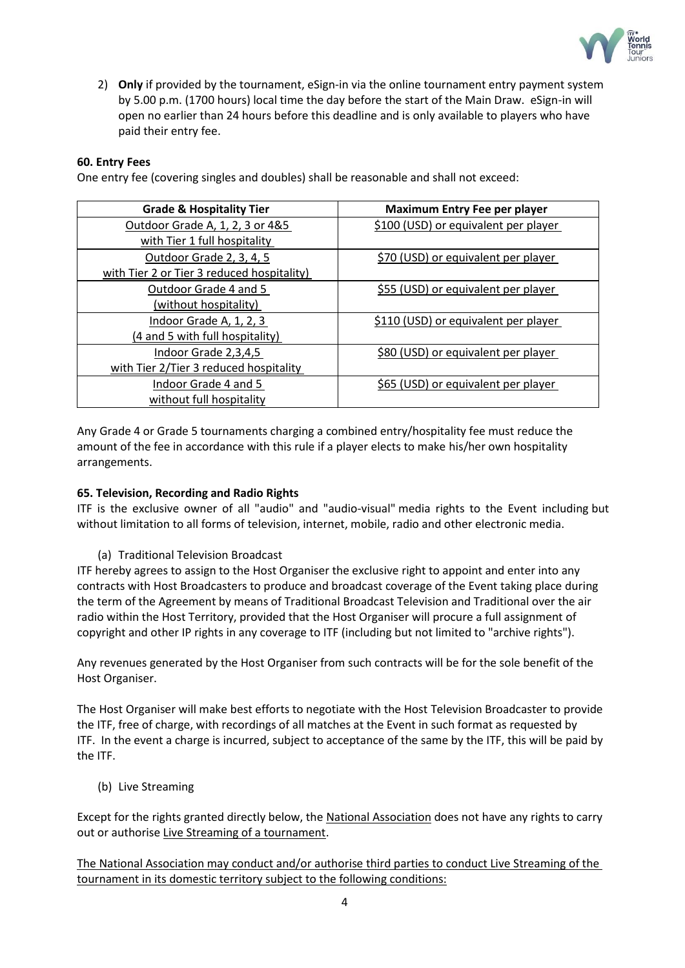

2) **Only** if provided by the tournament, eSign-in via the online tournament entry payment system by 5.00 p.m. (1700 hours) local time the day before the start of the Main Draw. eSign-in will open no earlier than 24 hours before this deadline and is only available to players who have paid their entry fee.

## **60. Entry Fees**

One entry fee (covering singles and doubles) shall be reasonable and shall not exceed:

| <b>Grade &amp; Hospitality Tier</b>        | <b>Maximum Entry Fee per player</b>  |
|--------------------------------------------|--------------------------------------|
| Outdoor Grade A, 1, 2, 3 or 4&5            | \$100 (USD) or equivalent per player |
| with Tier 1 full hospitality               |                                      |
| Outdoor Grade 2, 3, 4, 5                   | \$70 (USD) or equivalent per player  |
| with Tier 2 or Tier 3 reduced hospitality) |                                      |
| Outdoor Grade 4 and 5                      | \$55 (USD) or equivalent per player  |
| (without hospitality)                      |                                      |
| Indoor Grade A, 1, 2, 3                    | \$110 (USD) or equivalent per player |
| (4 and 5 with full hospitality)            |                                      |
| Indoor Grade 2,3,4,5                       | \$80 (USD) or equivalent per player  |
| with Tier 2/Tier 3 reduced hospitality     |                                      |
| Indoor Grade 4 and 5                       | \$65 (USD) or equivalent per player  |
| without full hospitality                   |                                      |

Any Grade 4 or Grade 5 tournaments charging a combined entry/hospitality fee must reduce the amount of the fee in accordance with this rule if a player elects to make his/her own hospitality arrangements.

#### **65. Television, Recording and Radio Rights**

ITF is the exclusive owner of all "audio" and "audio-visual" media rights to the Event including but without limitation to all forms of television, internet, mobile, radio and other electronic media.

(a) Traditional Television Broadcast

ITF hereby agrees to assign to the Host Organiser the exclusive right to appoint and enter into any contracts with Host Broadcasters to produce and broadcast coverage of the Event taking place during the term of the Agreement by means of Traditional Broadcast Television and Traditional over the air radio within the Host Territory, provided that the Host Organiser will procure a full assignment of copyright and other IP rights in any coverage to ITF (including but not limited to "archive rights").

Any revenues generated by the Host Organiser from such contracts will be for the sole benefit of the Host Organiser.

The Host Organiser will make best efforts to negotiate with the Host Television Broadcaster to provide the ITF, free of charge, with recordings of all matches at the Event in such format as requested by ITF. In the event a charge is incurred, subject to acceptance of the same by the ITF, this will be paid by the ITF.

(b) Live Streaming

Except for the rights granted directly below, the National Association does not have any rights to carry out or authorise Live Streaming of a tournament.

The National Association may conduct and/or authorise third parties to conduct Live Streaming of the tournament in its domestic territory subject to the following conditions: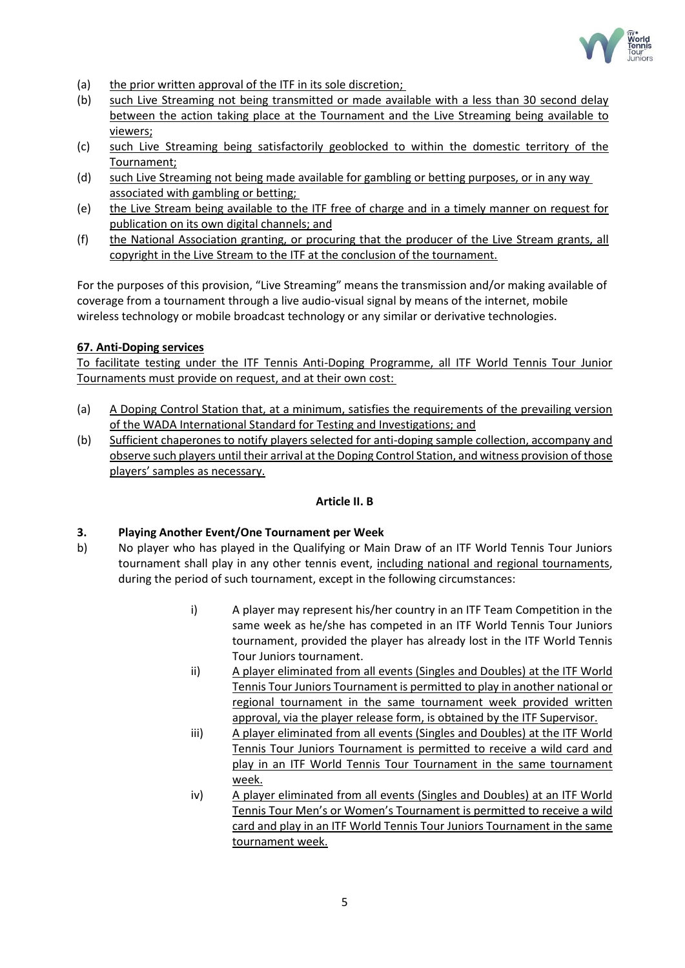

- (a) the prior written approval of the ITF in its sole discretion;
- (b) such Live Streaming not being transmitted or made available with a less than 30 second delay between the action taking place at the Tournament and the Live Streaming being available to viewers;
- (c) such Live Streaming being satisfactorily geoblocked to within the domestic territory of the Tournament;
- (d) such Live Streaming not being made available for gambling or betting purposes, or in any way associated with gambling or betting;
- (e) the Live Stream being available to the ITF free of charge and in a timely manner on request for publication on its own digital channels; and
- (f) the National Association granting, or procuring that the producer of the Live Stream grants, all copyright in the Live Stream to the ITF at the conclusion of the tournament.

For the purposes of this provision, "Live Streaming" means the transmission and/or making available of coverage from a tournament through a live audio-visual signal by means of the internet, mobile wireless technology or mobile broadcast technology or any similar or derivative technologies.

#### **67. Anti-Doping services**

To facilitate testing under the ITF Tennis Anti-Doping Programme, all ITF World Tennis Tour Junior Tournaments must provide on request, and at their own cost:

- (a) A Doping Control Station that, at a minimum, satisfies the requirements of the prevailing version of the WADA International Standard for Testing and Investigations; and
- (b) Sufficient chaperones to notify players selected for anti-doping sample collection, accompany and observe such players until their arrival at the Doping Control Station, and witness provision of those players' samples as necessary.

#### **Article II. B**

#### **3. Playing Another Event/One Tournament per Week**

- b) No player who has played in the Qualifying or Main Draw of an ITF World Tennis Tour Juniors tournament shall play in any other tennis event, including national and regional tournaments, during the period of such tournament, except in the following circumstances:
	- i) A player may represent his/her country in an ITF Team Competition in the same week as he/she has competed in an ITF World Tennis Tour Juniors tournament, provided the player has already lost in the ITF World Tennis Tour Juniors tournament.
	- ii) A player eliminated from all events (Singles and Doubles) at the ITF World Tennis Tour Juniors Tournament is permitted to play in another national or regional tournament in the same tournament week provided written approval, via the player release form, is obtained by the ITF Supervisor.
	- iii) A player eliminated from all events (Singles and Doubles) at the ITF World Tennis Tour Juniors Tournament is permitted to receive a wild card and play in an ITF World Tennis Tour Tournament in the same tournament week.
	- iv) A player eliminated from all events (Singles and Doubles) at an ITF World Tennis Tour Men's or Women's Tournament is permitted to receive a wild card and play in an ITF World Tennis Tour Juniors Tournament in the same tournament week.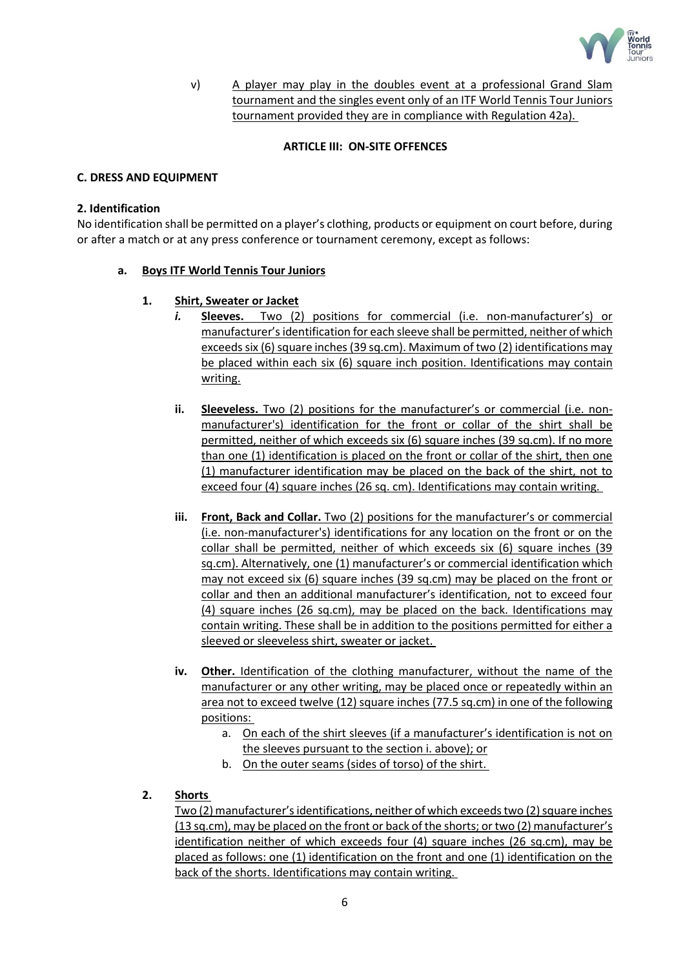

v) A player may play in the doubles event at a professional Grand Slam tournament and the singles event only of an ITF World Tennis Tour Juniors tournament provided they are in compliance with Regulation 42a).

#### **ARTICLE III: ON-SITE OFFENCES**

## **C. DRESS AND EQUIPMENT**

#### **2. Identification**

No identification shall be permitted on a player's clothing, products or equipment on court before, during or after a match or at any press conference or tournament ceremony, except as follows:

## **a. Boys ITF World Tennis Tour Juniors**

## **1. Shirt, Sweater or Jacket**

- *i.* **Sleeves.** Two (2) positions for commercial (i.e. non-manufacturer's) or manufacturer's identification for each sleeve shall be permitted, neither of which exceeds six (6) square inches (39 sq.cm). Maximum of two (2) identifications may be placed within each six (6) square inch position. Identifications may contain writing.
- **ii. Sleeveless.** Two (2) positions for the manufacturer's or commercial (i.e. nonmanufacturer's) identification for the front or collar of the shirt shall be permitted, neither of which exceeds six (6) square inches (39 sq.cm). If no more than one (1) identification is placed on the front or collar of the shirt, then one (1) manufacturer identification may be placed on the back of the shirt, not to exceed four (4) square inches (26 sq. cm). Identifications may contain writing.
- **iii. Front, Back and Collar.** Two (2) positions for the manufacturer's or commercial (i.e. non-manufacturer's) identifications for any location on the front or on the collar shall be permitted, neither of which exceeds six (6) square inches (39 sq.cm). Alternatively, one (1) manufacturer's or commercial identification which may not exceed six (6) square inches (39 sq.cm) may be placed on the front or collar and then an additional manufacturer's identification, not to exceed four (4) square inches (26 sq.cm), may be placed on the back. Identifications may contain writing. These shall be in addition to the positions permitted for either a sleeved or sleeveless shirt, sweater or jacket.
- **iv. Other.** Identification of the clothing manufacturer, without the name of the manufacturer or any other writing, may be placed once or repeatedly within an area not to exceed twelve (12) square inches (77.5 sq.cm) in one of the following positions:
	- a. On each of the shirt sleeves (if a manufacturer's identification is not on the sleeves pursuant to the section i. above); or
	- b. On the outer seams (sides of torso) of the shirt.
- **2. Shorts**

Two (2) manufacturer's identifications, neither of which exceeds two (2) square inches (13 sq.cm), may be placed on the front or back of the shorts; or two (2) manufacturer's identification neither of which exceeds four (4) square inches (26 sq.cm), may be placed as follows: one (1) identification on the front and one (1) identification on the back of the shorts. Identifications may contain writing.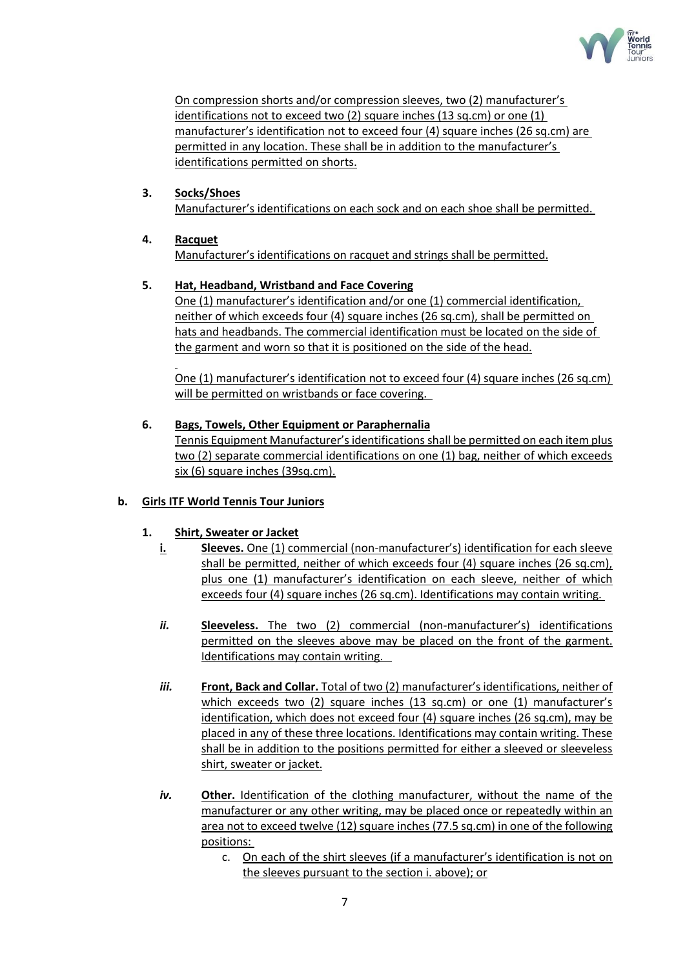

On compression shorts and/or compression sleeves, two (2) manufacturer's identifications not to exceed two (2) square inches (13 sq.cm) or one (1) manufacturer's identification not to exceed four (4) square inches (26 sq.cm) are permitted in any location. These shall be in addition to the manufacturer's identifications permitted on shorts.

# **3. Socks/Shoes**

Manufacturer's identifications on each sock and on each shoe shall be permitted.

# **4. Racquet**

Manufacturer's identifications on racquet and strings shall be permitted.

# **5. Hat, Headband, Wristband and Face Covering**

One (1) manufacturer's identification and/or one (1) commercial identification, neither of which exceeds four (4) square inches (26 sq.cm), shall be permitted on hats and headbands. The commercial identification must be located on the side of the garment and worn so that it is positioned on the side of the head.

One (1) manufacturer's identification not to exceed four (4) square inches (26 sq.cm) will be permitted on wristbands or face covering.

# **6. Bags, Towels, Other Equipment or Paraphernalia**

Tennis Equipment Manufacturer's identifications shall be permitted on each item plus two (2) separate commercial identifications on one (1) bag, neither of which exceeds six (6) square inches (39sq.cm).

# **b. Girls ITF World Tennis Tour Juniors**

# **1. Shirt, Sweater or Jacket**

- **i. Sleeves.** One (1) commercial (non-manufacturer's) identification for each sleeve shall be permitted, neither of which exceeds four (4) square inches (26 sq.cm), plus one (1) manufacturer's identification on each sleeve, neither of which exceeds four (4) square inches (26 sq.cm). Identifications may contain writing.
- *ii.* **Sleeveless.** The two (2) commercial (non-manufacturer's) identifications permitted on the sleeves above may be placed on the front of the garment. Identifications may contain writing.
- *iii.* **Front, Back and Collar.** Total of two (2) manufacturer's identifications, neither of which exceeds two (2) square inches (13 sq.cm) or one (1) manufacturer's identification, which does not exceed four (4) square inches (26 sq.cm), may be placed in any of these three locations. Identifications may contain writing. These shall be in addition to the positions permitted for either a sleeved or sleeveless shirt, sweater or jacket.
- *iv.* **Other.** Identification of the clothing manufacturer, without the name of the manufacturer or any other writing, may be placed once or repeatedly within an area not to exceed twelve (12) square inches (77.5 sq.cm) in one of the following positions:
	- c. On each of the shirt sleeves (if a manufacturer's identification is not on the sleeves pursuant to the section i. above); or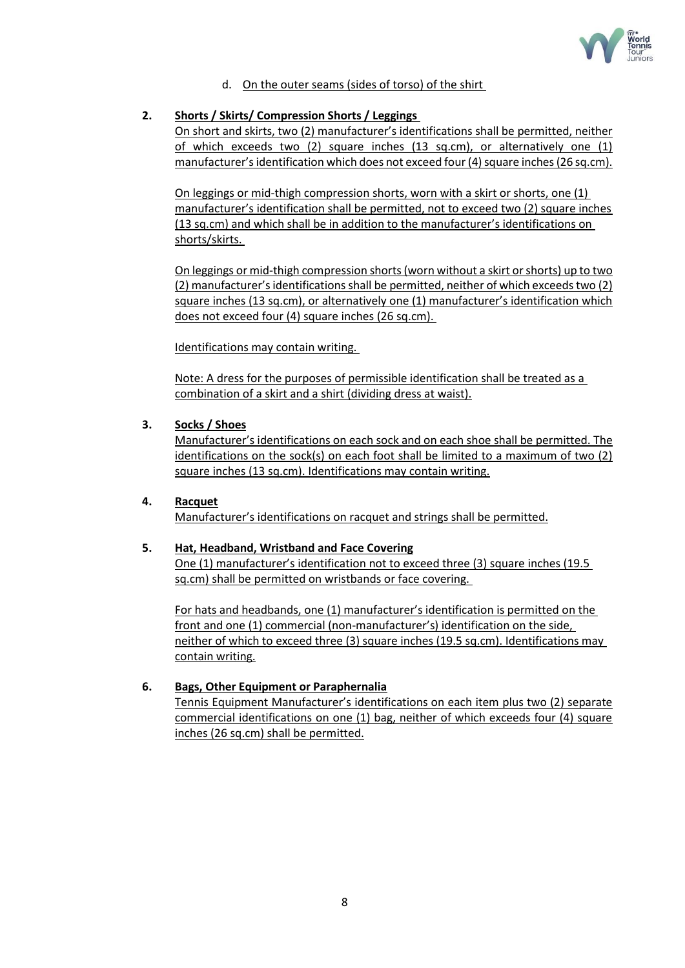

d. On the outer seams (sides of torso) of the shirt

# **2. Shorts / Skirts/ Compression Shorts / Leggings**

On short and skirts, two (2) manufacturer's identifications shall be permitted, neither of which exceeds two (2) square inches (13 sq.cm), or alternatively one (1) manufacturer's identification which does not exceed four (4) square inches (26 sq.cm).

On leggings or mid-thigh compression shorts, worn with a skirt or shorts, one (1) manufacturer's identification shall be permitted, not to exceed two (2) square inches (13 sq.cm) and which shall be in addition to the manufacturer's identifications on shorts/skirts.

On leggings or mid-thigh compression shorts (worn without a skirt or shorts) up to two (2) manufacturer's identifications shall be permitted, neither of which exceeds two (2) square inches (13 sq.cm), or alternatively one (1) manufacturer's identification which does not exceed four (4) square inches (26 sq.cm).

Identifications may contain writing.

Note: A dress for the purposes of permissible identification shall be treated as a combination of a skirt and a shirt (dividing dress at waist).

## **3. Socks / Shoes**

Manufacturer's identifications on each sock and on each shoe shall be permitted. The identifications on the sock(s) on each foot shall be limited to a maximum of two (2) square inches (13 sq.cm). Identifications may contain writing.

#### **4. Racquet**

Manufacturer's identifications on racquet and strings shall be permitted.

#### **5. Hat, Headband, Wristband and Face Covering**

One (1) manufacturer's identification not to exceed three (3) square inches (19.5 sq.cm) shall be permitted on wristbands or face covering.

For hats and headbands, one (1) manufacturer's identification is permitted on the front and one (1) commercial (non-manufacturer's) identification on the side, neither of which to exceed three (3) square inches (19.5 sq.cm). Identifications may contain writing.

# **6. Bags, Other Equipment or Paraphernalia**

Tennis Equipment Manufacturer's identifications on each item plus two (2) separate commercial identifications on one (1) bag, neither of which exceeds four (4) square inches (26 sq.cm) shall be permitted.